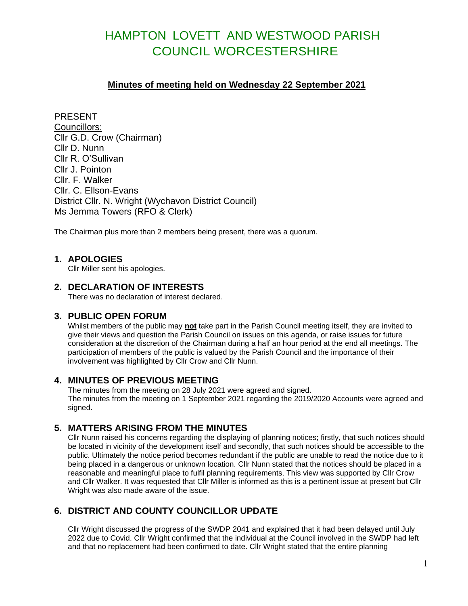# HAMPTON LOVETT AND WESTWOOD PARISH COUNCIL WORCESTERSHIRE

#### **Minutes of meeting held on Wednesday 22 September 2021**

PRESENT Councillors: Cllr G.D. Crow (Chairman) Cllr D. Nunn Cllr R. O'Sullivan Cllr J. Pointon Cllr. F. Walker Cllr. C. Ellson-Evans District Cllr. N. Wright (Wychavon District Council) Ms Jemma Towers (RFO & Clerk)

The Chairman plus more than 2 members being present, there was a quorum.

#### **1. APOLOGIES**

Cllr Miller sent his apologies.

#### **2. DECLARATION OF INTERESTS**

There was no declaration of interest declared.

#### **3. PUBLIC OPEN FORUM**

Whilst members of the public may **not** take part in the Parish Council meeting itself, they are invited to give their views and question the Parish Council on issues on this agenda, or raise issues for future consideration at the discretion of the Chairman during a half an hour period at the end all meetings. The participation of members of the public is valued by the Parish Council and the importance of their involvement was highlighted by Cllr Crow and Cllr Nunn.

#### **4. MINUTES OF PREVIOUS MEETING**

The minutes from the meeting on 28 July 2021 were agreed and signed. The minutes from the meeting on 1 September 2021 regarding the 2019/2020 Accounts were agreed and signed.

## **5. MATTERS ARISING FROM THE MINUTES**

Cllr Nunn raised his concerns regarding the displaying of planning notices; firstly, that such notices should be located in vicinity of the development itself and secondly, that such notices should be accessible to the public. Ultimately the notice period becomes redundant if the public are unable to read the notice due to it being placed in a dangerous or unknown location. Cllr Nunn stated that the notices should be placed in a reasonable and meaningful place to fulfil planning requirements. This view was supported by Cllr Crow and Cllr Walker. It was requested that Cllr Miller is informed as this is a pertinent issue at present but Cllr Wright was also made aware of the issue.

## **6. DISTRICT AND COUNTY COUNCILLOR UPDATE**

Cllr Wright discussed the progress of the SWDP 2041 and explained that it had been delayed until July 2022 due to Covid. Cllr Wright confirmed that the individual at the Council involved in the SWDP had left and that no replacement had been confirmed to date. Cllr Wright stated that the entire planning